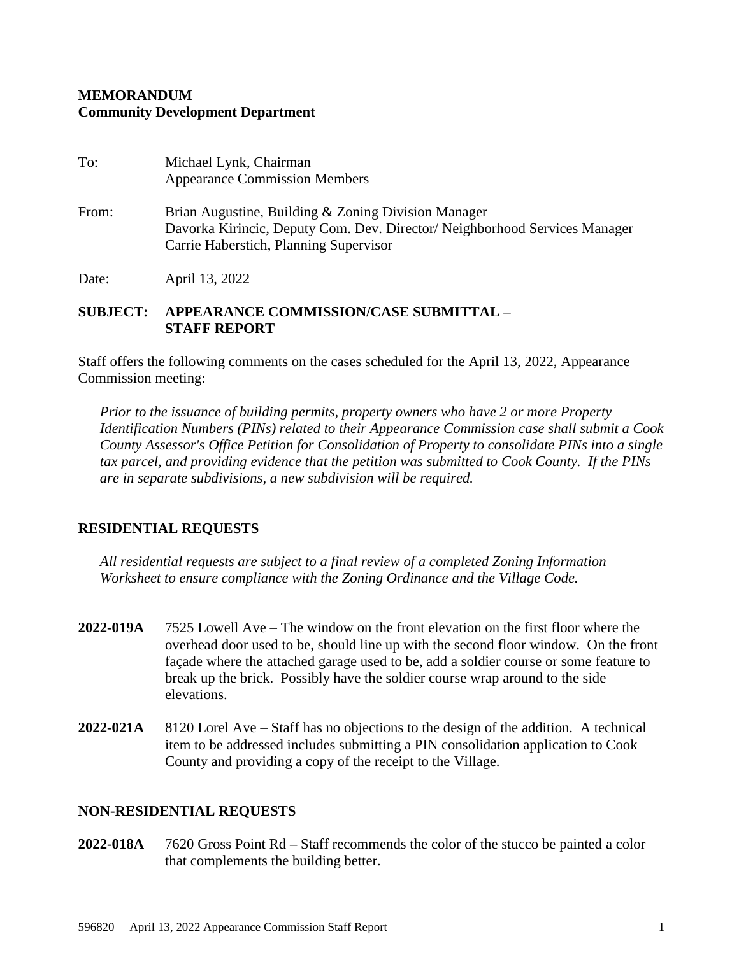## **MEMORANDUM Community Development Department**

| To:   | Michael Lynk, Chairman<br><b>Appearance Commission Members</b>                                                                                                              |
|-------|-----------------------------------------------------------------------------------------------------------------------------------------------------------------------------|
| From: | Brian Augustine, Building & Zoning Division Manager<br>Davorka Kirincic, Deputy Com. Dev. Director/ Neighborhood Services Manager<br>Carrie Haberstich, Planning Supervisor |
| Date: | April 13, 2022                                                                                                                                                              |

## **SUBJECT: APPEARANCE COMMISSION/CASE SUBMITTAL – STAFF REPORT**

Staff offers the following comments on the cases scheduled for the April 13, 2022, Appearance Commission meeting:

*Prior to the issuance of building permits, property owners who have 2 or more Property Identification Numbers (PINs) related to their Appearance Commission case shall submit a Cook County Assessor's Office Petition for Consolidation of Property to consolidate PINs into a single tax parcel, and providing evidence that the petition was submitted to Cook County. If the PINs are in separate subdivisions, a new subdivision will be required.*

## **RESIDENTIAL REQUESTS**

*All residential requests are subject to a final review of a completed Zoning Information Worksheet to ensure compliance with the Zoning Ordinance and the Village Code.*

- **2022-019A** 7525 Lowell Ave The window on the front elevation on the first floor where the overhead door used to be, should line up with the second floor window. On the front façade where the attached garage used to be, add a soldier course or some feature to break up the brick. Possibly have the soldier course wrap around to the side elevations.
- **2022-021A** 8120 Lorel Ave Staff has no objections to the design of the addition. A technical item to be addressed includes submitting a PIN consolidation application to Cook County and providing a copy of the receipt to the Village.

## **NON-RESIDENTIAL REQUESTS**

**2022-018A** 7620 Gross Point Rd **–** Staff recommends the color of the stucco be painted a color that complements the building better.